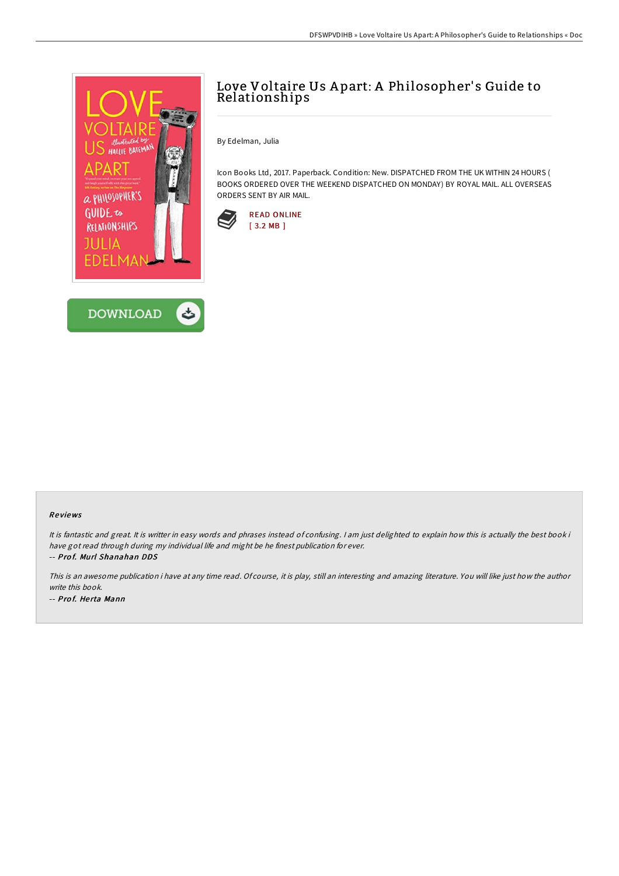



## Love Voltaire Us A part: A Philosopher' s Guide to Relationships

By Edelman, Julia

Icon Books Ltd, 2017. Paperback. Condition: New. DISPATCHED FROM THE UK WITHIN 24 HOURS ( BOOKS ORDERED OVER THE WEEKEND DISPATCHED ON MONDAY) BY ROYAL MAIL. ALL OVERSEAS ORDERS SENT BY AIR MAIL.



## Re views

It is fantastic and great. It is writter in easy words and phrases instead of confusing. <sup>I</sup> am just delighted to explain how this is actually the best book i have got read through during my individual life and might be he finest publication for ever. -- Pro f. Murl Shanahan DDS

This is an awesome publication i have at any time read. Of course, it is play, still an interesting and amazing literature. You will like just how the author write this book. -- Pro f. He rta Mann